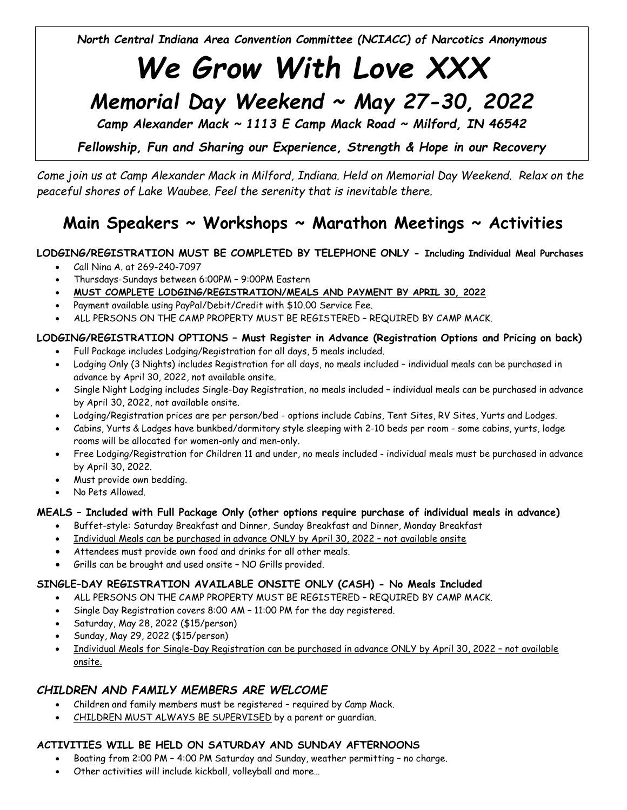North Central Indiana Area Convention Committee (NCIACC) of Narcotics Anonymous

# We Grow With Love XXX

# Memorial Day Weekend ~ May 27-30, 2022

Camp Alexander Mack  $\sim$  1113 E Camp Mack Road  $\sim$  Milford, IN 46542

Fellowship, Fun and Sharing our Experience, Strength & Hope in our Recovery

Come join us at Camp Alexander Mack in Milford, Indiana. Held on Memorial Day Weekend. Relax on the peaceful shores of Lake Waubee. Feel the serenity that is inevitable there.

## Main Speakers  $\sim$  Workshops  $\sim$  Marathon Meetings  $\sim$  Activities

#### LODGING/REGISTRATION MUST BE COMPLETED BY TELEPHONE ONLY - Including Individual Meal Purchases

- Call Nina A. at 269-240-7097
- Thursdays-Sundays between 6:00PM 9:00PM Eastern
- MUST COMPLETE LODGING/REGISTRATION/MEALS AND PAYMENT BY APRIL 30, 2022
- Payment available using PayPal/Debit/Credit with \$10.00 Service Fee.
- ALL PERSONS ON THE CAMP PROPERTY MUST BE REGISTERED REQUIRED BY CAMP MACK.

### LODGING/REGISTRATION OPTIONS – Must Register in Advance (Registration Options and Pricing on back)

- Full Package includes Lodging/Registration for all days, 5 meals included.
- Lodging Only (3 Nights) includes Registration for all days, no meals included individual meals can be purchased in advance by April 30, 2022, not available onsite.
- Single Night Lodging includes Single-Day Registration, no meals included individual meals can be purchased in advance by April 30, 2022, not available onsite.
- Lodging/Registration prices are per person/bed options include Cabins, Tent Sites, RV Sites, Yurts and Lodges.
- Cabins, Yurts & Lodges have bunkbed/dormitory style sleeping with 2-10 beds per room some cabins, yurts, lodge rooms will be allocated for women-only and men-only.
- Free Lodging/Registration for Children 11 and under, no meals included individual meals must be purchased in advance by April 30, 2022.
- Must provide own bedding.
- No Pets Allowed.

#### MEALS – Included with Full Package Only (other options require purchase of individual meals in advance)

- Buffet-style: Saturday Breakfast and Dinner, Sunday Breakfast and Dinner, Monday Breakfast
- Individual Meals can be purchased in advance ONLY by April 30, 2022 not available onsite
- Attendees must provide own food and drinks for all other meals.
- Grills can be brought and used onsite NO Grills provided.

#### SINGLE–DAY REGISTRATION AVAILABLE ONSITE ONLY (CASH) - No Meals Included

- ALL PERSONS ON THE CAMP PROPERTY MUST BE REGISTERED REQUIRED BY CAMP MACK.
- Single Day Registration covers 8:00 AM 11:00 PM for the day registered.
- Saturday, May 28, 2022 (\$15/person)
- Sunday, May 29, 2022 (\$15/person)
- Individual Meals for Single-Day Registration can be purchased in advance ONLY by April 30, 2022 not available onsite.

### CHILDREN AND FAMILY MEMBERS ARE WELCOME

- Children and family members must be registered required by Camp Mack.
- CHILDREN MUST ALWAYS BE SUPERVISED by a parent or guardian.

#### ACTIVITIES WILL BE HELD ON SATURDAY AND SUNDAY AFTERNOONS

- Boating from 2:00 PM 4:00 PM Saturday and Sunday, weather permitting no charge.
- Other activities will include kickball, volleyball and more…